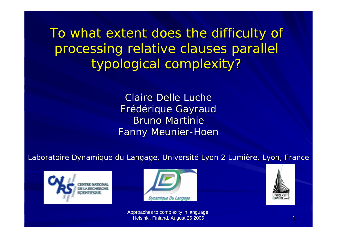To what extent does the difficulty of processing relative clauses parallel typological complexity?

> Claire Delle Luche Frédérique Gayraud Frédérique Gayraud Bruno Martinie **Fanny Meunier-Hoen**

Laboratoire Dynamique du Langage, Université Lyon 2 Lumière, Lyon, France







Approaches to complexity in language, Helsinki, Finland, August 26 2005 1999 Helsinki, Finland, August 26 2005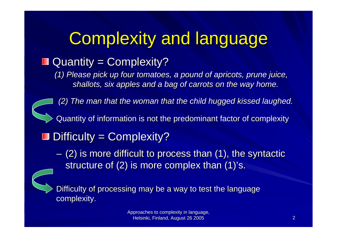## **Complexity and language**

#### $\blacksquare$  Quantity = Complexity?

*(1) Please pick up four tomatoes, a pound of apricots, prune juice, shallots shallots, six apples and a bag of and a bag of carrots carrots on the way home.*

*(2) The man (2) The man that the woman that the child hugged kissed laughed laughed.*

Quantity of information is not the predominant factor of complexity

 $\blacksquare$  Difficulty = Complexity?

 $-$  (2) is more difficult to process than (1), the syntactic structure of  $(2)$  is more complex than  $(1)$ 's.

Difficulty of processing may be a way to test the language complexity.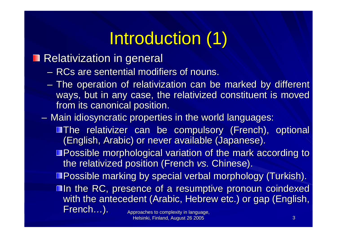# Introduction (1)

#### **Relativization in general**

- $-$  RCs are sentential modifiers of nouns.
- **Line Community** - The operation of relativization can be marked by different ways, but in any case, the relativized constituent is moved from its canonical position.
- $\mathcal{L}_{\mathcal{A}}$  , where  $\mathcal{L}_{\mathcal{A}}$  is the set of the set of the set of the set of the set of the set of the set of the set of the set of the set of the set of the set of the set of the set of the set of the set of the  $-$  Main idiosyncratic properties in the world languages:
	- **The relativizer can be compulsory (French), optional** (English, Arabic) or never available (Japanese).
	- $\blacksquare$  Possible morphological variation of the mark according to the relativized position (French *vs.* Chinese).
	- **Possible marking by special verbal morphology (Turkish).**
	- **In the RC, presence of a resumptive pronoun coindexed coindexed** with the antecedent (Arabic, Hebrew etc.) or gap (English, French…).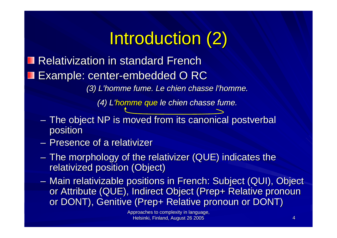# Introduction (2)

Relativization in standard French Example: center-embedded O RC

*(3) L'homme fume. Le chien chasse l'homme. (3) L'homme fume. Le chien chasse l'homme.*

*L'homme fume. Le chien chasse l'homme.<br>(4) L'homme que le chien chasse fume.* 

- **Links and Contract and Contract**  $-$  The object NP is moved from its canonical postverbal position position
- Presence of a relativizer
- **Links and Community**  $-$  The morphology of the relativizer (QUE) indicates the  $\overline{\phantom{a}}$ relativized position (Object)
- Main relativizable positions in French: Subject (QUI), Object or Attribute (QUE), Indirect Object (Prep+ Relative pronoun or DONT), Genitive (Prep+ Relative pronoun or DONT)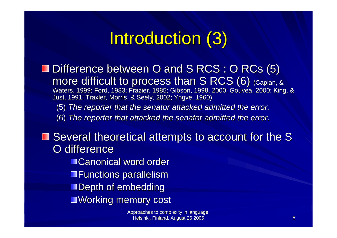## Introduction (3)

- Difference between O and S RCS : O RCs  $(5)$  : more difficult to process than  $S$  RCS (6) (Caplan, & Waters, 1999; Ford, 1983; Frazier, 1985; Gibson, 1998, 2000; Gouvea, 2000; King, & Just, 1991; Traxler, Morris, & Seely, 2002; Yngve, 1960)
	- (5) *The reporter The reporter that the senator senator attacked attacked admitted admitted the error.*
	- (6) *The reporter The reporter that attacked attacked the senator senator admitted admitted the error.*

 $\blacksquare$  Several theoretical attempts to account for the S O difference

■Canonical word order

Functions parallelism

 $\blacksquare$  Depth of embedding

**Working memory cost** 

Approaches to complexity in language, Helsinki, Finland, August 26 2005 **5 August 26 2005 Helsinki, Finland, August 26 2005**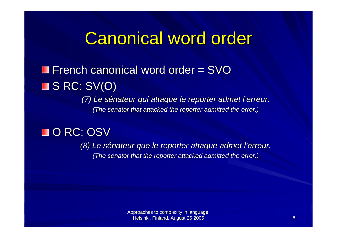### **Canonical word order**

#### French canonical word order =  $\text{SVO}$  $\blacksquare$  S RC: SV(O)

*(7) Le sénateur qui attaque le reporter admet l'erreur. (The senator that attacked the reporter admitted the error.)* 

#### O RC: OSV

*(8) Le sénateur sénateur que le reporter le reporter attaque attaque admet l'erreur l'erreur. (The senator that the reporter attacked admitted the error.)*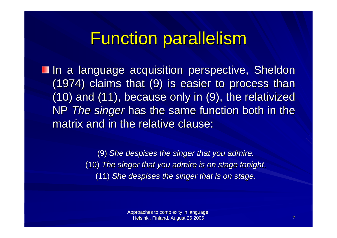### **Function parallelism**

**In a language acquisition perspective, Sheldon In a language acquisition perspective, Sheldon**  $(1974)$  claims that  $(9)$  is easier to process than  $(10)$  and  $(11)$ , because only in  $(9)$ , the relativized NP *The singer* has the same function both in the matrix and in the relative clause:

> (9) *She despises despises the singer the singer that you admire. admire.* (10) *The singer The singer that you admire is on stage on stage tonight tonight*. (11) *She despises despises the singer the singer that is on stage on stage*.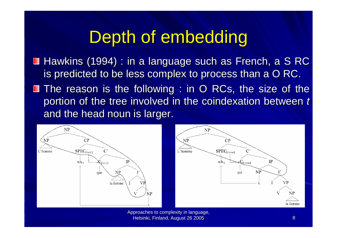### Depth of embedding

- Hawkins (1994) : in a language such as French, a S RC is predicted to be less complex to process than a O RC.
- **The reason is the following : in O RCs, the size of the** portion of the tree involved in the coindexation between *t* and the head noun is larger.



Approaches to complexity in language, Helsinki, Finland, August 26 2005 **Black and August 26 2005** 8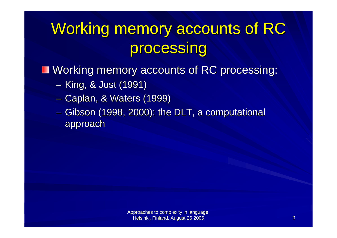## Working memory accounts of RC processing

■ Working memory accounts of RC processing:

- $\mathcal{L}_{\mathcal{A}}$  , where  $\mathcal{L}_{\mathcal{A}}$  is the set of the set of the set of the set of the set of the set of the set of the set of the set of the set of the set of the set of the set of the set of the set of the set of the – King, & Just (1991)
- $\mathcal{L}_{\mathcal{A}}$  , where  $\mathcal{L}_{\mathcal{A}}$  is the set of the set of the set of the set of the set of the set of the set of the set of the set of the set of the set of the set of the set of the set of the set of the set of the – Caplan, & Waters (1999)
- $\mathcal{L}_{\mathcal{A}}$  , where  $\mathcal{L}_{\mathcal{A}}$  is the set of the set of the set of the set of the set of the set of the set of the set of the set of the set of the set of the set of the set of the set of the set of the set of the – Gibson (1998, 2000): the DLT, a computational approach approach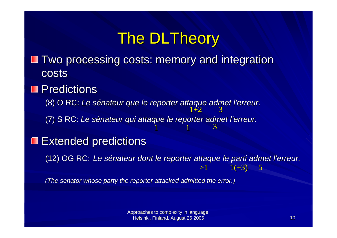### The DLTheory

- Two processing costs: memory and integration costs
- Predictions

(8) O RC: (8) O RC: *Le sénateur sénateurque le reporter le reporter attaque attaque admet l'erreur l'erreur.*  $1\text{+}2$ 3

(7) S RC: (7) S RC: *Le sénateur sénateur qui attaque attaque le reporter le reporter admet l'erreur l'erreur.* 3

1

#### Extended predictions ш

(12) OG RC: (12) OG RC: *Le sénateur dont le reporter att Le sénateur dont le reporter attaque le parti admet l'erreur. aque le parti admet l'erreur.*  $>1$  $1(+3)$  5

1

*(The senator whose party the reporter attacked admitted the error.)* 

Approaches to complexity in language, Helsinki, Finland, August 26 2005 Helsinki, Finland, August 26 2005 10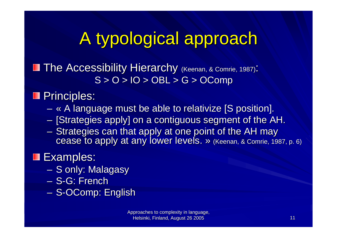# A typological approach

**The Accessibility Hierarchy (Keenan, & Comrie, 1987):**  $S > 0 > 10 > OBL > G > OComp$ 

**Principles:** 

- $\mathcal{L}_{\mathcal{A}}$  $-$  « A language must be able to relativize [S position].
- $\sim$  $-$  [Strategies apply] on a contiguous segment of the AH.
- – $-$  Strategies can that apply at one point of the AH may cease to apply at any lower levels. » (Keenan, & Comrie, 1987, p. 6)

#### **Examples:**

- $\mathcal{L}_{\mathcal{A}}$ – S only: Malagasy
- S-G: French
- –– S-OComp: English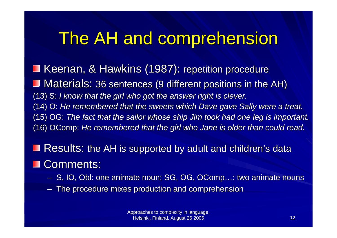### The AH and comprehension

Keenan, & Hawkins (1987): repetition procedure Materials: 36 sentences (9 different positions in the AH) (13) S: (13) S: *I know that the girl the girl who got the answer right is clever.* (14) O: He remembered *that the sweets which Dave gave Sally were a treat.* (15) OG: (15) OG: *The fact that the sailor whose ship Jim took had one leg is important. important.* (16) OComp: *He remembered remembered that the girl the girl who Jane is older than could read.*

 $\sf Results:$  the AH is supported by adult and children's data

#### **OD** Comments:

- –– S, IO, Obl: one animate noun; SG, OG, OComp…: two animate nouns
- –– The procedure mixes production and comprehension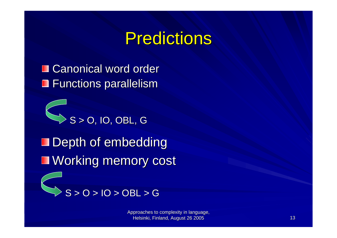### **Predictions**

**■ Canonical word order** Functions parallelism

 $\blacksquare$  Depth of embedding **Working memory cost**  $S > 0$ , IO, OBL, G



Approaches to complexity in language, Helsinki, Finland, August 26 2005 13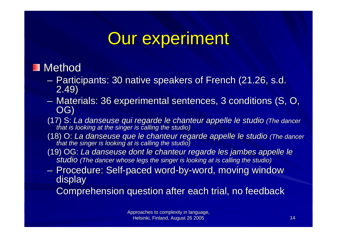### **Our experiment**

#### ■ Method

- –– Participants: 30 native speakers of French (21.26, s.d. 2.49)
- –– Materials: 36 experimental sentences, 3 conditions (S, O,  $\overline{\text{OG}}$ )
- (17) S: La danseuse qui regarde le chanteur appelle le studio (The dancer<br>that is looking at the singer is calling the studio)
- (18) O: La danseuse que le chanteur regarde appelle le studio (The dancer<br>that the singer is looking at is calling the studio)
- (19) OG: La danseuse dont le chanteur regarde les jambes appelle le<br>studio (The dancer whose legs the singer is looking at is calling the studio)
- **Holland** Construction – Procedure: Self-paced word-by-word, moving window display
	- Comprehension question after each trial, no feedback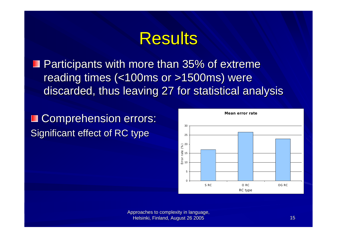### **Results**

 $\blacksquare$  Participants with more than 35% of extreme reading times (<100ms or >1500ms) were discarded, thus leaving 27 for statistical analysis

Comprehension errors: Ш Significant effect of RC type



Approaches to complexity in language, Helsinki, Finland, August 26 2005 15 and 15 and 15 and 15 and 15 and 15 and 15 and 15 and 15 and 15 and 15 and 15 and 15 and 15 and 15 and 15 and 15 and 15 and 15 and 15 and 15 and 15 and 15 and 15 and 15 and 15 and 15 and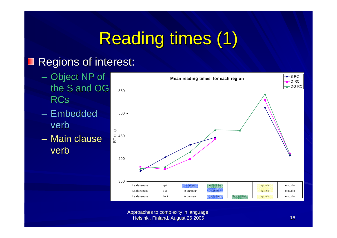# Reading times (1)

#### Regions of interest: H

- Object NP of the S and OG RCs
- Embedded verb
- Main clause verb



Approaches to complexity in language, Helsinki, Finland, August 26 2005 16 16 17 17 18 17 18 17 18 18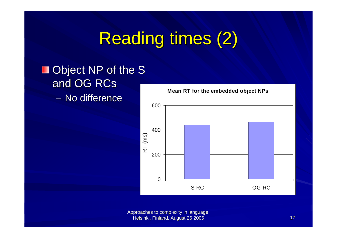## **Reading times (2)**

#### $\blacksquare$  Object NP of the S and OG RCs – No difference



**Mean RT for the embedded object NPs**

Approaches to complexity in language, Helsinki, Finland, August 26 2005 17 Helsinki, Finland, August 26 2005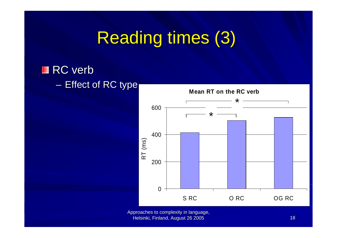## Reading times (3)

#### RC verb

#### $\mathcal{L}_{\mathcal{A}}$  , where  $\mathcal{L}_{\mathcal{A}}$  is the set of the set of the set of the set of the set of the set of the set of the set of the set of the set of the set of the set of the set of the set of the set of the set of the — Effect of RC type Mean RT on the RC verb



Approaches to complexity in language, Helsinki, Finland, August 26 2005 18 and 18 and 18 and 18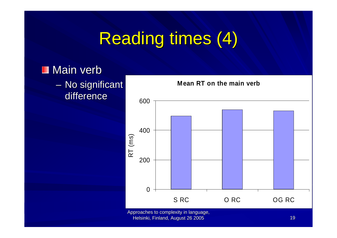## **Reading times (4)**

#### **Main verb**

 $\mathcal{L}_{\mathcal{A}}$  , where  $\mathcal{L}_{\mathcal{A}}$  is the set of the set of the set of the set of the set of the set of the set of the set of the set of the set of the set of the set of the set of the set of the set of the set of the – No significant difference



**Mean RT on the main verb**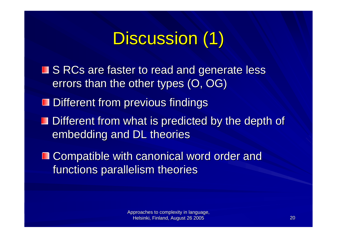# Discussion (1)

- S RCs are faster to read and generate less errors than the other types (O, OG)
- $\blacksquare$  Different from previous findings
- $\blacksquare$  Different from what is predicted by the depth of embedding and DL theories
- **□ Compatible with canonical word order and** functions parallelism theories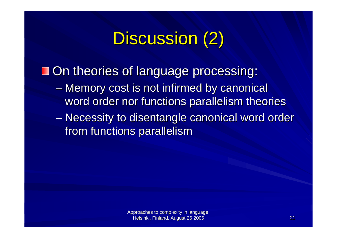# Discussion (2)

On theories of language processing:

- Memory cost is not infirmed by canonical word order nor functions parallelism theories
- $\mathcal{L}_{\mathcal{A}}$  , where  $\mathcal{L}_{\mathcal{A}}$  is the set of the set of the set of the set of the set of the set of the set of the set of the set of the set of the set of the set of the set of the set of the set of the set of the – Necessity to disentangle canonical word order from functions parallelism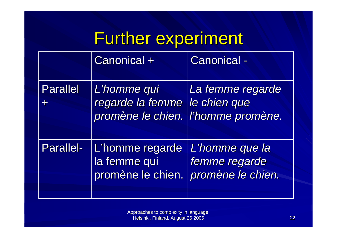## Further experiment

|                 | Canonical +                                          | <b>Canonical -</b>                                                     |
|-----------------|------------------------------------------------------|------------------------------------------------------------------------|
| <b>Parallel</b> | L'homme qui<br>regarde la femme                      | La femme regarde<br>le chien que<br>promène le chien. l'homme promène. |
| Parallel-       | L'homme regarde<br>la femme qui<br>promène le chien. | L'homme que la<br>femme regarde<br>promène le chien.                   |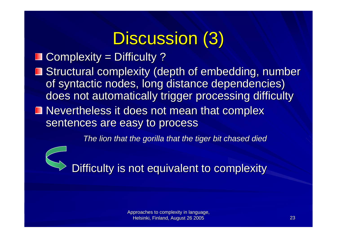# Discussion (3)

#### $\Box$  Complexity = Difficulty ?

**B** Structural complexity (depth of embedding, number of syntactic nodes, long distance dependencies) does not automatically trigger processing difficulty

Nevertheless it does not mean that complex sentences are easy to process

*The lion The lion that the gorilla gorilla that the tiger bit chased died*



Difficulty is not equivalent to complexity